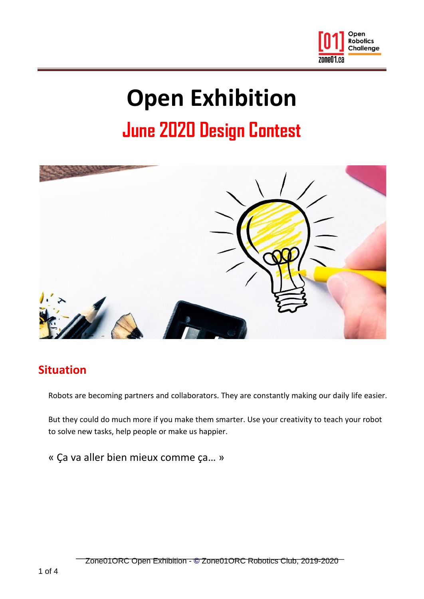

# **Open Exhibition**

# **June 2020 Design Contest**



# **Situation**

Robots are becoming partners and collaborators. They are constantly making our daily life easier.

But they could do much more if you make them smarter. Use your creativity to teach your robot to solve new tasks, help people or make us happier.

« Ça va aller bien mieux comme ça… »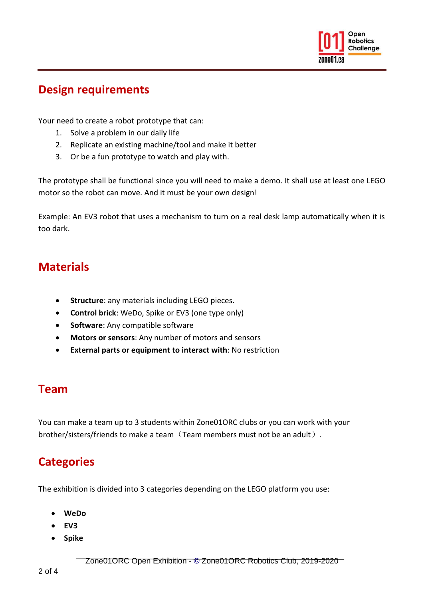

#### **Design requirements**

Your need to create a robot prototype that can:

- 1. Solve a problem in our daily life
- 2. Replicate an existing machine/tool and make it better
- 3. Or be a fun prototype to watch and play with.

The prototype shall be functional since you will need to make a demo. It shall use at least one LEGO motor so the robot can move. And it must be your own design!

Example: An EV3 robot that uses a mechanism to turn on a real desk lamp automatically when it is too dark.

## **Materials**

- **Structure**: any materials including LEGO pieces.
- **Control brick**: WeDo, Spike or EV3 (one type only)
- **Software**: Any compatible software
- **Motors or sensors**: Any number of motors and sensors
- **External parts or equipment to interact with**: No restriction

#### **Team**

You can make a team up to 3 students within Zone01ORC clubs or you can work with your brother/sisters/friends to make a team (Team members must not be an adult).

# **Categories**

The exhibition is divided into 3 categories depending on the LEGO platform you use:

- **WeDo**
- **EV3**
- **Spike**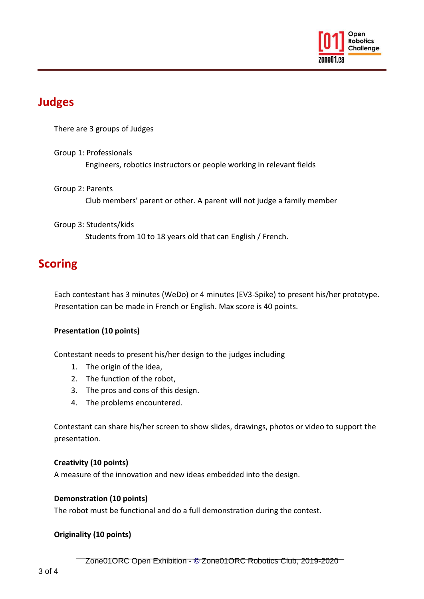

## **Judges**

There are 3 groups of Judges

Group 1: Professionals Engineers, robotics instructors or people working in relevant fields

Group 2: Parents Club members' parent or other. A parent will not judge a family member

Group 3: Students/kids Students from 10 to 18 years old that can English / French.

## **Scoring**

Each contestant has 3 minutes (WeDo) or 4 minutes (EV3-Spike) to present his/her prototype. Presentation can be made in French or English. Max score is 40 points.

#### **Presentation (10 points)**

Contestant needs to present his/her design to the judges including

- 1. The origin of the idea,
- 2. The function of the robot,
- 3. The pros and cons of this design.
- 4. The problems encountered.

Contestant can share his/her screen to show slides, drawings, photos or video to support the presentation.

#### **Creativity (10 points)**

A measure of the innovation and new ideas embedded into the design.

#### **Demonstration (10 points)**

The robot must be functional and do a full demonstration during the contest.

#### **Originality (10 points)**

Zone01ORC Open Exhibition - **[©](http://fr.wikipedia.org/wiki/%C2%A9)** Zone01ORC Robotics Club, 2019-2020